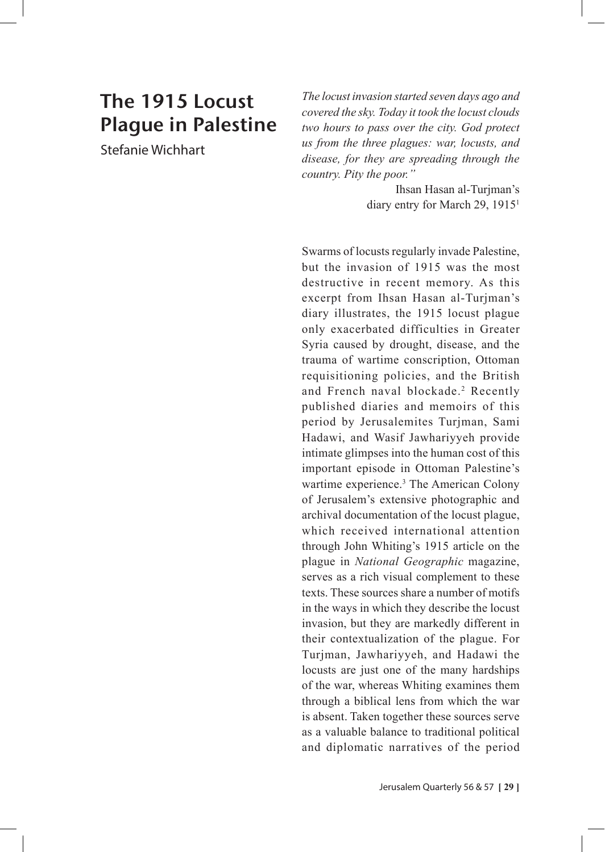## The 1915 Locust Plague in Palestine

Stefanie Wichhart

*The locust invasion started seven days ago and covered the sky. Today it took the locust clouds two hours to pass over the city. God protect us from the three plagues: war, locusts, and disease, for they are spreading through the country. Pity the poor."* 

> Ihsan Hasan al-Turjman's diary entry for March 29, 19151

Swarms of locusts regularly invade Palestine, but the invasion of 1915 was the most destructive in recent memory. As this excerpt from Ihsan Hasan al-Turjman's diary illustrates, the 1915 locust plague only exacerbated difficulties in Greater Syria caused by drought, disease, and the trauma of wartime conscription, Ottoman requisitioning policies, and the British and French naval blockade.<sup>2</sup> Recently published diaries and memoirs of this period by Jerusalemites Turjman, Sami Hadawi, and Wasif Jawhariyyeh provide intimate glimpses into the human cost of this important episode in Ottoman Palestine's wartime experience.<sup>3</sup> The American Colony of Jerusalem's extensive photographic and archival documentation of the locust plague, which received international attention through John Whiting's 1915 article on the plague in *National Geographic* magazine, serves as a rich visual complement to these texts. These sources share a number of motifs in the ways in which they describe the locust invasion, but they are markedly different in their contextualization of the plague. For Turjman, Jawhariyyeh, and Hadawi the locusts are just one of the many hardships of the war, whereas Whiting examines them through a biblical lens from which the war is absent. Taken together these sources serve as a valuable balance to traditional political and diplomatic narratives of the period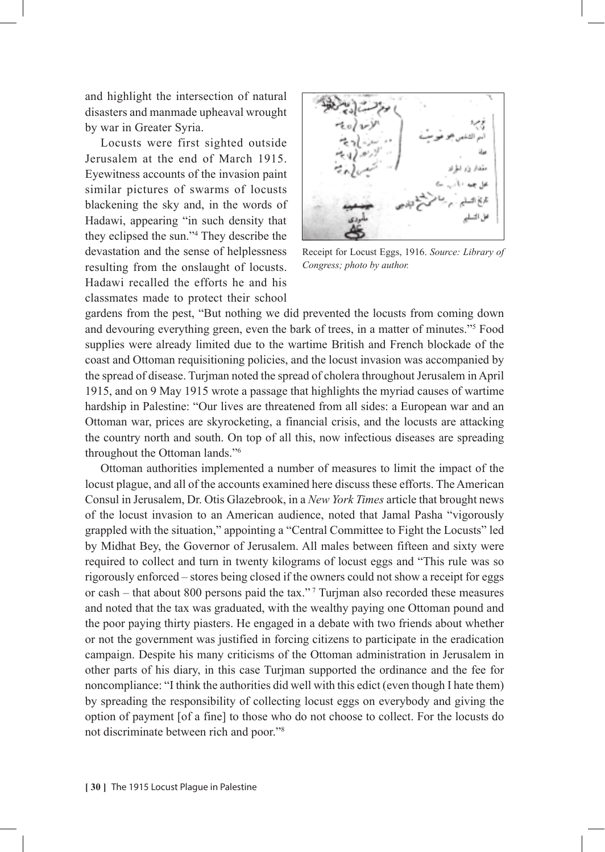and highlight the intersection of natural disasters and manmade upheaval wrought by war in Greater Syria.

Locusts were first sighted outside Jerusalem at the end of March 1915. Eyewitness accounts of the invasion paint similar pictures of swarms of locusts blackening the sky and, in the words of Hadawi, appearing "in such density that they eclipsed the sun."4 They describe the devastation and the sense of helplessness resulting from the onslaught of locusts. Hadawi recalled the efforts he and his classmates made to protect their school



Receipt for Locust Eggs, 1916. *Source: Library of Congress; photo by author.*

gardens from the pest, "But nothing we did prevented the locusts from coming down and devouring everything green, even the bark of trees, in a matter of minutes."5 Food supplies were already limited due to the wartime British and French blockade of the coast and Ottoman requisitioning policies, and the locust invasion was accompanied by the spread of disease. Turjman noted the spread of cholera throughout Jerusalem in April 1915, and on 9 May 1915 wrote a passage that highlights the myriad causes of wartime hardship in Palestine: "Our lives are threatened from all sides: a European war and an Ottoman war, prices are skyrocketing, a financial crisis, and the locusts are attacking the country north and south. On top of all this, now infectious diseases are spreading throughout the Ottoman lands."6

Ottoman authorities implemented a number of measures to limit the impact of the locust plague, and all of the accounts examined here discuss these efforts. The American Consul in Jerusalem, Dr. Otis Glazebrook, in a *New York Times* article that brought news of the locust invasion to an American audience, noted that Jamal Pasha "vigorously grappled with the situation," appointing a "Central Committee to Fight the Locusts" led by Midhat Bey, the Governor of Jerusalem. All males between fifteen and sixty were required to collect and turn in twenty kilograms of locust eggs and "This rule was so rigorously enforced – stores being closed if the owners could not show a receipt for eggs or cash – that about 800 persons paid the tax."<sup>7</sup> Turjman also recorded these measures and noted that the tax was graduated, with the wealthy paying one Ottoman pound and the poor paying thirty piasters. He engaged in a debate with two friends about whether or not the government was justified in forcing citizens to participate in the eradication campaign. Despite his many criticisms of the Ottoman administration in Jerusalem in other parts of his diary, in this case Turjman supported the ordinance and the fee for noncompliance: "I think the authorities did well with this edict (even though I hate them) by spreading the responsibility of collecting locust eggs on everybody and giving the option of payment [of a fine] to those who do not choose to collect. For the locusts do not discriminate between rich and poor."8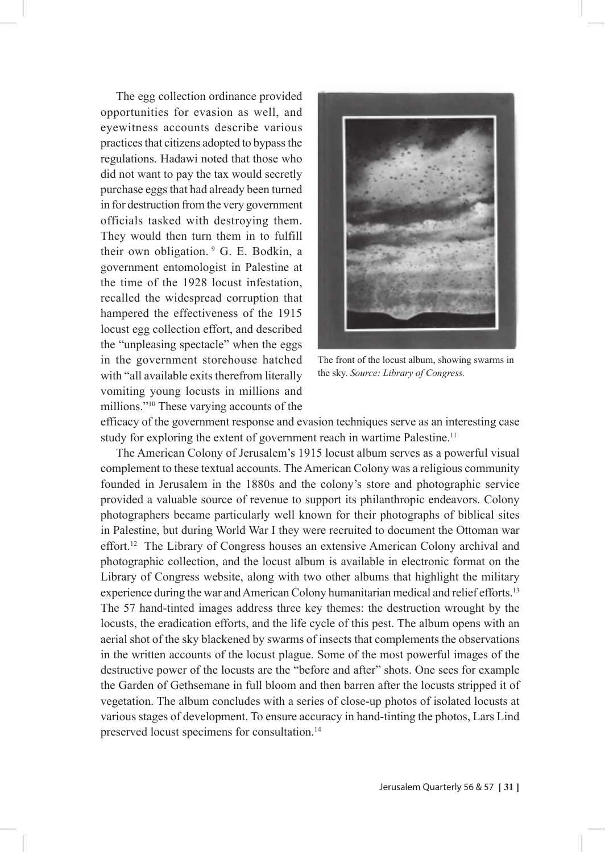The egg collection ordinance provided opportunities for evasion as well, and eyewitness accounts describe various practices that citizens adopted to bypass the regulations. Hadawi noted that those who did not want to pay the tax would secretly purchase eggs that had already been turned in for destruction from the very government officials tasked with destroying them. They would then turn them in to fulfill their own obligation. 9 G. E. Bodkin, a government entomologist in Palestine at the time of the 1928 locust infestation, recalled the widespread corruption that hampered the effectiveness of the 1915 locust egg collection effort, and described the "unpleasing spectacle" when the eggs in the government storehouse hatched with "all available exits therefrom literally vomiting young locusts in millions and millions."10 These varying accounts of the



The front of the locust album, showing swarms in the sky. *Source: Library of Congress.*

efficacy of the government response and evasion techniques serve as an interesting case study for exploring the extent of government reach in wartime Palestine.<sup>11</sup>

The American Colony of Jerusalem's 1915 locust album serves as a powerful visual complement to these textual accounts. The American Colony was a religious community founded in Jerusalem in the 1880s and the colony's store and photographic service provided a valuable source of revenue to support its philanthropic endeavors. Colony photographers became particularly well known for their photographs of biblical sites in Palestine, but during World War I they were recruited to document the Ottoman war effort.12 The Library of Congress houses an extensive American Colony archival and photographic collection, and the locust album is available in electronic format on the Library of Congress website, along with two other albums that highlight the military experience during the war and American Colony humanitarian medical and relief efforts.<sup>13</sup> The 57 hand-tinted images address three key themes: the destruction wrought by the locusts, the eradication efforts, and the life cycle of this pest. The album opens with an aerial shot of the sky blackened by swarms of insects that complements the observations in the written accounts of the locust plague. Some of the most powerful images of the destructive power of the locusts are the "before and after" shots. One sees for example the Garden of Gethsemane in full bloom and then barren after the locusts stripped it of vegetation. The album concludes with a series of close-up photos of isolated locusts at various stages of development. To ensure accuracy in hand-tinting the photos, Lars Lind preserved locust specimens for consultation.14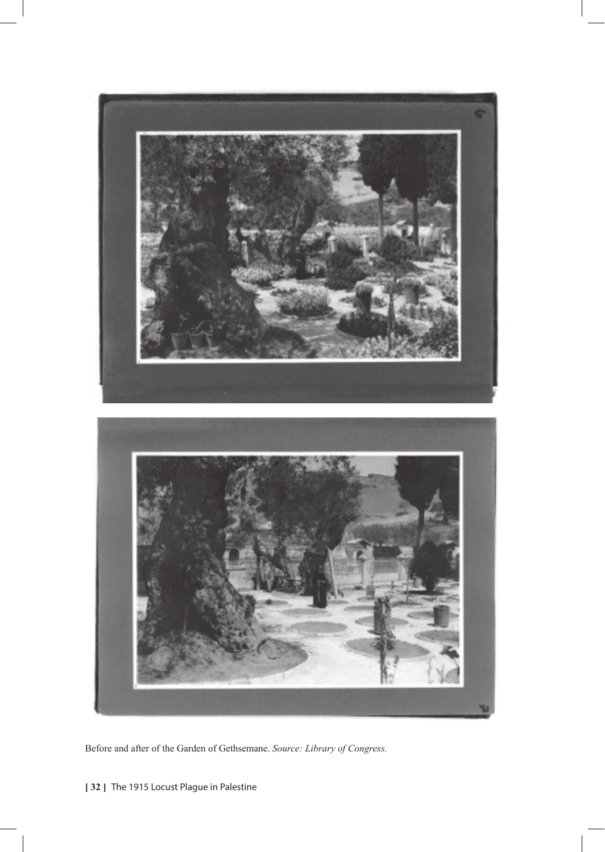

Before and after of the Garden of Gethsemane. *Source: Library of Congress.*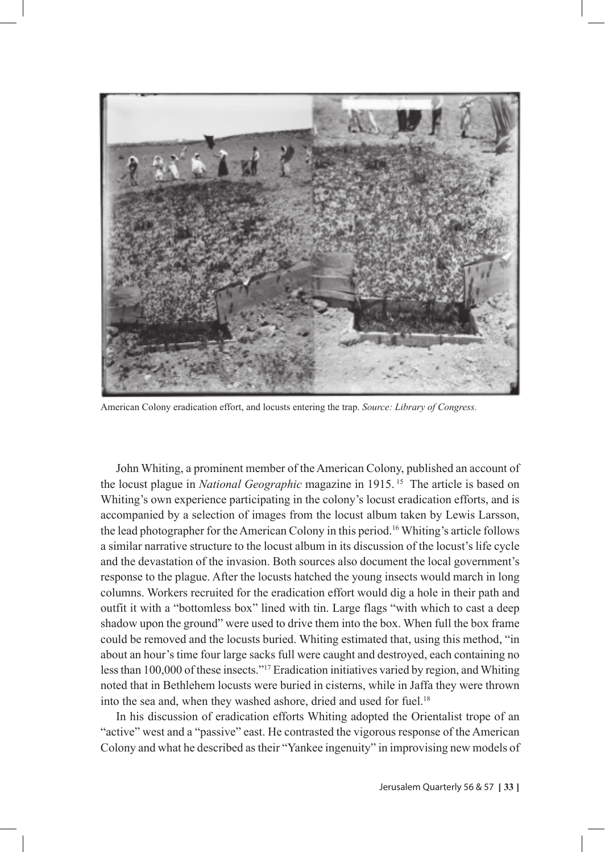

American Colony eradication effort, and locusts entering the trap. *Source: Library of Congress.*

John Whiting, a prominent member of the American Colony, published an account of the locust plague in *National Geographic* magazine in 1915. 15 The article is based on Whiting's own experience participating in the colony's locust eradication efforts, and is accompanied by a selection of images from the locust album taken by Lewis Larsson, the lead photographer for the American Colony in this period.16 Whiting's article follows a similar narrative structure to the locust album in its discussion of the locust's life cycle and the devastation of the invasion. Both sources also document the local government's response to the plague. After the locusts hatched the young insects would march in long columns. Workers recruited for the eradication effort would dig a hole in their path and outfit it with a "bottomless box" lined with tin. Large flags "with which to cast a deep shadow upon the ground" were used to drive them into the box. When full the box frame could be removed and the locusts buried. Whiting estimated that, using this method, "in about an hour's time four large sacks full were caught and destroyed, each containing no less than 100,000 of these insects."17 Eradication initiatives varied by region, and Whiting noted that in Bethlehem locusts were buried in cisterns, while in Jaffa they were thrown into the sea and, when they washed ashore, dried and used for fuel.<sup>18</sup>

In his discussion of eradication efforts Whiting adopted the Orientalist trope of an "active" west and a "passive" east. He contrasted the vigorous response of the American Colony and what he described as their "Yankee ingenuity" in improvising new models of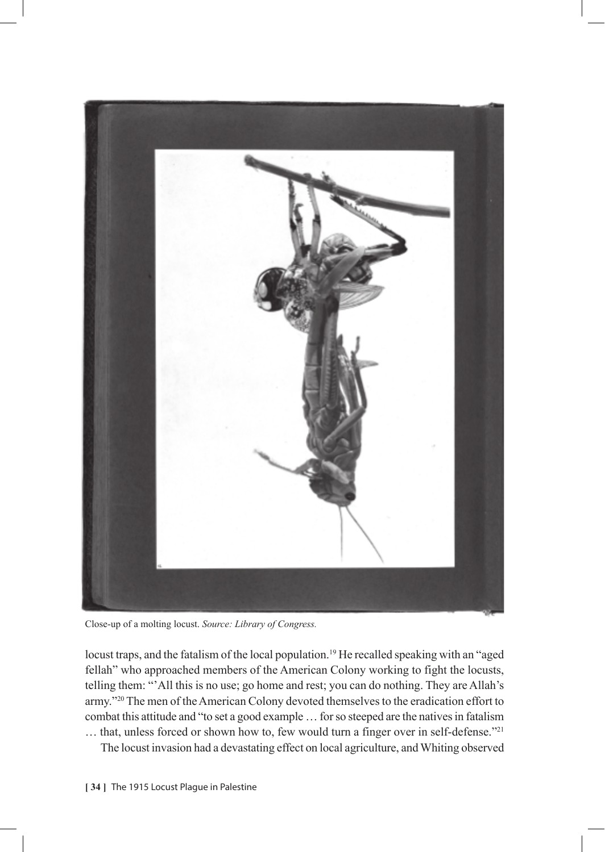

Close-up of a molting locust. *Source: Library of Congress.*

locust traps, and the fatalism of the local population.<sup>19</sup> He recalled speaking with an "aged fellah" who approached members of the American Colony working to fight the locusts, telling them: "'All this is no use; go home and rest; you can do nothing. They are Allah's army."20 The men of the American Colony devoted themselves to the eradication effort to combat this attitude and "to set a good example … for so steeped are the natives in fatalism … that, unless forced or shown how to, few would turn a finger over in self-defense."21

The locust invasion had a devastating effect on local agriculture, and Whiting observed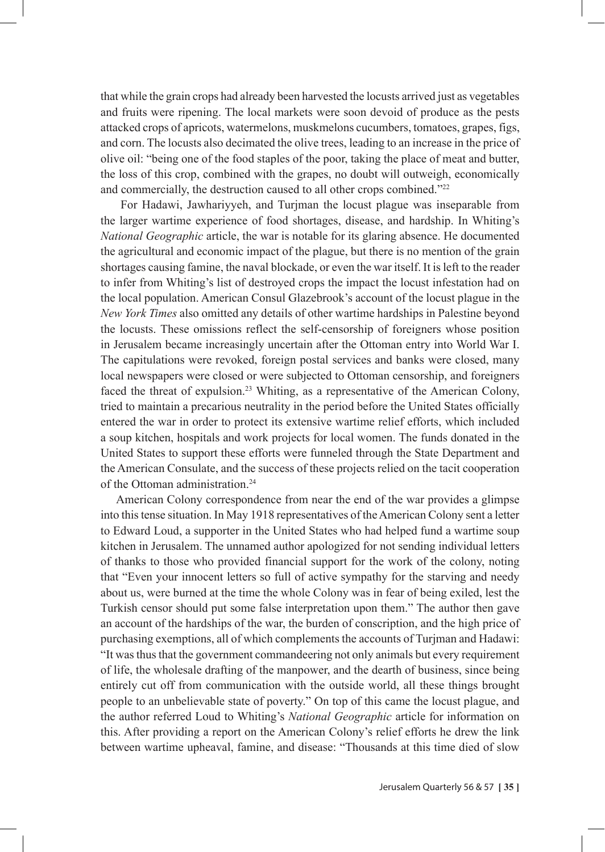that while the grain crops had already been harvested the locusts arrived just as vegetables and fruits were ripening. The local markets were soon devoid of produce as the pests attacked crops of apricots, watermelons, muskmelons cucumbers, tomatoes, grapes, figs, and corn. The locusts also decimated the olive trees, leading to an increase in the price of olive oil: "being one of the food staples of the poor, taking the place of meat and butter, the loss of this crop, combined with the grapes, no doubt will outweigh, economically and commercially, the destruction caused to all other crops combined."<sup>22</sup>

 For Hadawi, Jawhariyyeh, and Turjman the locust plague was inseparable from the larger wartime experience of food shortages, disease, and hardship. In Whiting's *National Geographic* article, the war is notable for its glaring absence. He documented the agricultural and economic impact of the plague, but there is no mention of the grain shortages causing famine, the naval blockade, or even the war itself. It is left to the reader to infer from Whiting's list of destroyed crops the impact the locust infestation had on the local population. American Consul Glazebrook's account of the locust plague in the *New York Times* also omitted any details of other wartime hardships in Palestine beyond the locusts. These omissions reflect the self-censorship of foreigners whose position in Jerusalem became increasingly uncertain after the Ottoman entry into World War I. The capitulations were revoked, foreign postal services and banks were closed, many local newspapers were closed or were subjected to Ottoman censorship, and foreigners faced the threat of expulsion.23 Whiting, as a representative of the American Colony, tried to maintain a precarious neutrality in the period before the United States officially entered the war in order to protect its extensive wartime relief efforts, which included a soup kitchen, hospitals and work projects for local women. The funds donated in the United States to support these efforts were funneled through the State Department and the American Consulate, and the success of these projects relied on the tacit cooperation of the Ottoman administration.<sup>24</sup>

American Colony correspondence from near the end of the war provides a glimpse into this tense situation. In May 1918 representatives of the American Colony sent a letter to Edward Loud, a supporter in the United States who had helped fund a wartime soup kitchen in Jerusalem. The unnamed author apologized for not sending individual letters of thanks to those who provided financial support for the work of the colony, noting that "Even your innocent letters so full of active sympathy for the starving and needy about us, were burned at the time the whole Colony was in fear of being exiled, lest the Turkish censor should put some false interpretation upon them." The author then gave an account of the hardships of the war, the burden of conscription, and the high price of purchasing exemptions, all of which complements the accounts of Turjman and Hadawi: "It was thus that the government commandeering not only animals but every requirement of life, the wholesale drafting of the manpower, and the dearth of business, since being entirely cut off from communication with the outside world, all these things brought people to an unbelievable state of poverty." On top of this came the locust plague, and the author referred Loud to Whiting's *National Geographic* article for information on this. After providing a report on the American Colony's relief efforts he drew the link between wartime upheaval, famine, and disease: "Thousands at this time died of slow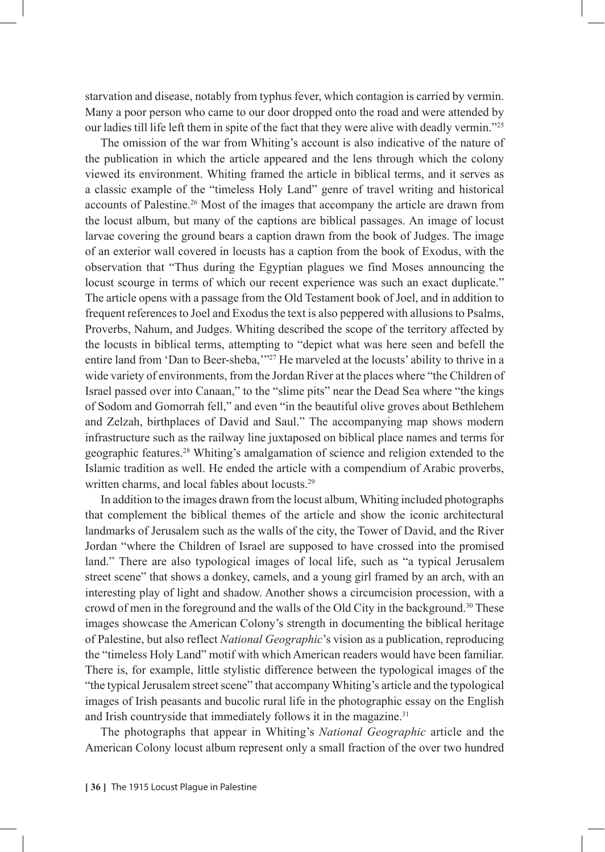starvation and disease, notably from typhus fever, which contagion is carried by vermin. Many a poor person who came to our door dropped onto the road and were attended by our ladies till life left them in spite of the fact that they were alive with deadly vermin."25

The omission of the war from Whiting's account is also indicative of the nature of the publication in which the article appeared and the lens through which the colony viewed its environment. Whiting framed the article in biblical terms, and it serves as a classic example of the "timeless Holy Land" genre of travel writing and historical accounts of Palestine.26 Most of the images that accompany the article are drawn from the locust album, but many of the captions are biblical passages. An image of locust larvae covering the ground bears a caption drawn from the book of Judges. The image of an exterior wall covered in locusts has a caption from the book of Exodus, with the observation that "Thus during the Egyptian plagues we find Moses announcing the locust scourge in terms of which our recent experience was such an exact duplicate." The article opens with a passage from the Old Testament book of Joel, and in addition to frequent references to Joel and Exodus the text is also peppered with allusions to Psalms, Proverbs, Nahum, and Judges. Whiting described the scope of the territory affected by the locusts in biblical terms, attempting to "depict what was here seen and befell the entire land from 'Dan to Beer-sheba,''<sup>27</sup> He marveled at the locusts' ability to thrive in a wide variety of environments, from the Jordan River at the places where "the Children of Israel passed over into Canaan," to the "slime pits" near the Dead Sea where "the kings of Sodom and Gomorrah fell," and even "in the beautiful olive groves about Bethlehem and Zelzah, birthplaces of David and Saul." The accompanying map shows modern infrastructure such as the railway line juxtaposed on biblical place names and terms for geographic features.28 Whiting's amalgamation of science and religion extended to the Islamic tradition as well. He ended the article with a compendium of Arabic proverbs, written charms, and local fables about locusts.<sup>29</sup>

In addition to the images drawn from the locust album, Whiting included photographs that complement the biblical themes of the article and show the iconic architectural landmarks of Jerusalem such as the walls of the city, the Tower of David, and the River Jordan "where the Children of Israel are supposed to have crossed into the promised land." There are also typological images of local life, such as "a typical Jerusalem street scene" that shows a donkey, camels, and a young girl framed by an arch, with an interesting play of light and shadow. Another shows a circumcision procession, with a crowd of men in the foreground and the walls of the Old City in the background.30 These images showcase the American Colony's strength in documenting the biblical heritage of Palestine, but also reflect *National Geographic*'s vision as a publication, reproducing the "timeless Holy Land" motif with which American readers would have been familiar. There is, for example, little stylistic difference between the typological images of the "the typical Jerusalem street scene" that accompany Whiting's article and the typological images of Irish peasants and bucolic rural life in the photographic essay on the English and Irish countryside that immediately follows it in the magazine.<sup>31</sup>

The photographs that appear in Whiting's *National Geographic* article and the American Colony locust album represent only a small fraction of the over two hundred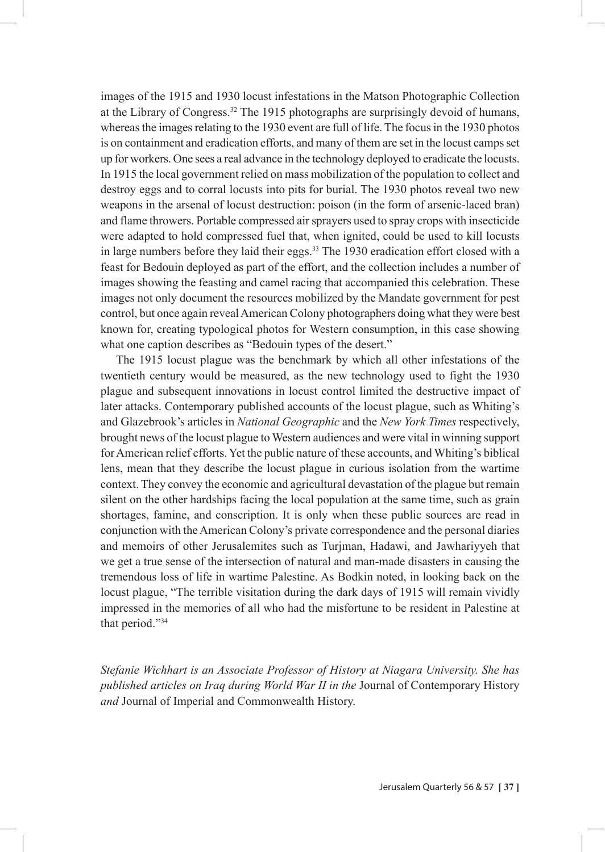images of the 1915 and 1930 locust infestations in the Matson Photographic Collection at the Library of Congress.32 The 1915 photographs are surprisingly devoid of humans, whereas the images relating to the 1930 event are full of life. The focus in the 1930 photos is on containment and eradication efforts, and many of them are set in the locust camps set up for workers. One sees a real advance in the technology deployed to eradicate the locusts. In 1915 the local government relied on mass mobilization of the population to collect and destroy eggs and to corral locusts into pits for burial. The 1930 photos reveal two new weapons in the arsenal of locust destruction: poison (in the form of arsenic-laced bran) and flame throwers. Portable compressed air sprayers used to spray crops with insecticide were adapted to hold compressed fuel that, when ignited, could be used to kill locusts in large numbers before they laid their eggs. $33$  The 1930 eradication effort closed with a feast for Bedouin deployed as part of the effort, and the collection includes a number of images showing the feasting and camel racing that accompanied this celebration. These images not only document the resources mobilized by the Mandate government for pest control, but once again reveal American Colony photographers doing what they were best known for, creating typological photos for Western consumption, in this case showing what one caption describes as "Bedouin types of the desert."

The 1915 locust plague was the benchmark by which all other infestations of the twentieth century would be measured, as the new technology used to fight the 1930 plague and subsequent innovations in locust control limited the destructive impact of later attacks. Contemporary published accounts of the locust plague, such as Whiting's and Glazebrook's articles in *National Geographic* and the *New York Times* respectively, brought news of the locust plague to Western audiences and were vital in winning support for American relief efforts. Yet the public nature of these accounts, and Whiting's biblical lens, mean that they describe the locust plague in curious isolation from the wartime context. They convey the economic and agricultural devastation of the plague but remain silent on the other hardships facing the local population at the same time, such as grain shortages, famine, and conscription. It is only when these public sources are read in conjunction with the American Colony's private correspondence and the personal diaries and memoirs of other Jerusalemites such as Turjman, Hadawi, and Jawhariyyeh that we get a true sense of the intersection of natural and man-made disasters in causing the tremendous loss of life in wartime Palestine. As Bodkin noted, in looking back on the locust plague, "The terrible visitation during the dark days of 1915 will remain vividly impressed in the memories of all who had the misfortune to be resident in Palestine at that period."34

*Stefanie Wichhart is an Associate Professor of History at Niagara University. She has published articles on Iraq during World War II in the* Journal of Contemporary History *and* Journal of Imperial and Commonwealth History.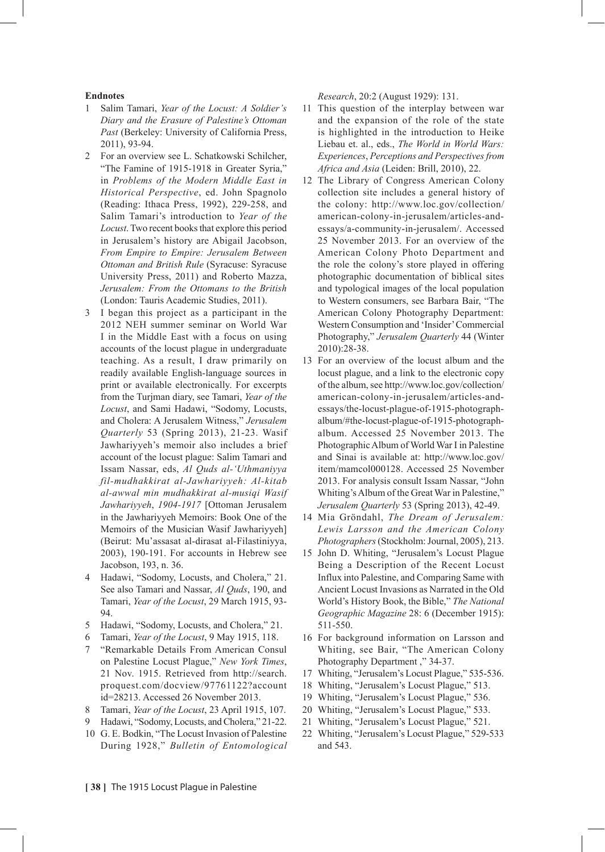## **Endnotes**

- 1 Salim Tamari, *Year of the Locust: A Soldier's Diary and the Erasure of Palestine's Ottoman*  Past (Berkeley: University of California Press, 2011), 93-94.
- 2 For an overview see L. Schatkowski Schilcher, "The Famine of 1915-1918 in Greater Syria," in *Problems of the Modern Middle East in Historical Perspective*, ed. John Spagnolo (Reading: Ithaca Press, 1992), 229-258, and Salim Tamari's introduction to *Year of the Locust*. Two recent books that explore this period in Jerusalem's history are Abigail Jacobson, *From Empire to Empire: Jerusalem Between Ottoman and British Rule* (Syracuse: Syracuse University Press, 2011) and Roberto Mazza, *Jerusalem: From the Ottomans to the British*  (London: Tauris Academic Studies, 2011).
- 3 I began this project as a participant in the 2012 NEH summer seminar on World War I in the Middle East with a focus on using accounts of the locust plague in undergraduate teaching. As a result, I draw primarily on readily available English-language sources in print or available electronically. For excerpts from the Turjman diary, see Tamari, *Year of the Locust*, and Sami Hadawi, "Sodomy, Locusts, and Cholera: A Jerusalem Witness," *Jerusalem Quarterly* 53 (Spring 2013), 21-23. Wasif Jawhariyyeh's memoir also includes a brief account of the locust plague: Salim Tamari and Issam Nassar, eds, *Al Quds al-'Uthmaniyya fil-mudhakkirat al-Jawhariyyeh: Al-kitab al-awwal min mudhakkirat al-musiqi Wasif Jawhariyyeh*, *1904-1917* [Ottoman Jerusalem in the Jawhariyyeh Memoirs: Book One of the Memoirs of the Musician Wasif Jawhariyyeh] (Beirut: Mu'assasat al-dirasat al-Filastiniyya, 2003), 190-191. For accounts in Hebrew see Jacobson, 193, n. 36.
- 4 Hadawi, "Sodomy, Locusts, and Cholera," 21. See also Tamari and Nassar, *Al Quds*, 190, and Tamari, *Year of the Locust*, 29 March 1915, 93- 94.
- 5 Hadawi, "Sodomy, Locusts, and Cholera," 21.
- 6 Tamari, *Year of the Locust*, 9 May 1915, 118.
- 7 "Remarkable Details From American Consul on Palestine Locust Plague," *New York Times*, 21 Nov. 1915. Retrieved from http://search. proquest.com/docview/97761122?account id=28213. Accessed 26 November 2013.
- 8 Tamari, *Year of the Locust*, 23 April 1915, 107.
- Hadawi, "Sodomy, Locusts, and Cholera," 21-22.
- 10 G. E. Bodkin, "The Locust Invasion of Palestine During 1928," *Bulletin of Entomological*

*Research*, 20:2 (August 1929): 131.

- 11 This question of the interplay between war and the expansion of the role of the state is highlighted in the introduction to Heike Liebau et. al., eds., *The World in World Wars: Experiences*, *Perceptions and Perspectives from Africa and Asia* (Leiden: Brill, 2010), 22.
- 12 The Library of Congress American Colony collection site includes a general history of the colony: http://www.loc.gov/collection/ american-colony-in-jerusalem/articles-andessays/a-community-in-jerusalem/. Accessed 25 November 2013. For an overview of the American Colony Photo Department and the role the colony's store played in offering photographic documentation of biblical sites and typological images of the local population to Western consumers, see Barbara Bair, "The American Colony Photography Department: Western Consumption and 'Insider' Commercial Photography," *Jerusalem Quarterly* 44 (Winter 2010):28-38.
- 13 For an overview of the locust album and the locust plague, and a link to the electronic copy of the album, see http://www.loc.gov/collection/ american-colony-in-jerusalem/articles-andessays/the-locust-plague-of-1915-photographalbum/#the-locust-plague-of-1915-photographalbum. Accessed 25 November 2013. The Photographic Album of World War I in Palestine and Sinai is available at: http://www.loc.gov/ item/mamcol000128. Accessed 25 November 2013. For analysis consult Issam Nassar, "John Whiting's Album of the Great War in Palestine," *Jerusalem Quarterly* 53 (Spring 2013), 42-49.
- 14 Mia Gröndahl, *The Dream of Jerusalem: Lewis Larsson and the American Colony Photographers* (Stockholm: Journal, 2005), 213.
- 15 John D. Whiting, "Jerusalem's Locust Plague Being a Description of the Recent Locust Influx into Palestine, and Comparing Same with Ancient Locust Invasions as Narrated in the Old World's History Book, the Bible," *The National Geographic Magazine* 28: 6 (December 1915): 511-550.
- 16 For background information on Larsson and Whiting, see Bair, "The American Colony Photography Department ," 34-37.
- 17 Whiting, "Jerusalem's Locust Plague," 535-536.
- 18 Whiting, "Jerusalem's Locust Plague," 513.
- 19 Whiting, "Jerusalem's Locust Plague," 536.
- 20 Whiting, "Jerusalem's Locust Plague," 533.
- 21 Whiting, "Jerusalem's Locust Plague," 521.
- 22 Whiting, "Jerusalem's Locust Plague," 529-533 and 543.